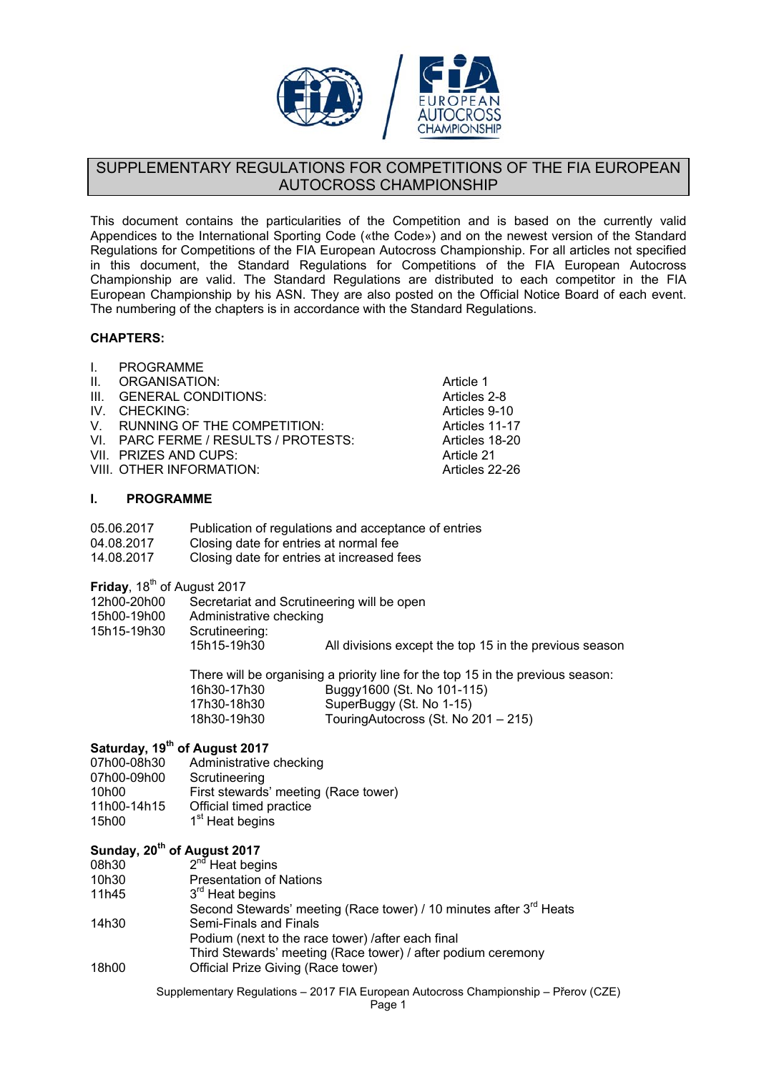

## SUPPLEMENTARY REGULATIONS FOR COMPETITIONS OF THE FIA EUROPEAN AUTOCROSS CHAMPIONSHIP

This document contains the particularities of the Competition and is based on the currently valid Appendices to the International Sporting Code («the Code») and on the newest version of the Standard Regulations for Competitions of the FIA European Autocross Championship. For all articles not specified in this document, the Standard Regulations for Competitions of the FIA European Autocross Championship are valid. The Standard Regulations are distributed to each competitor in the FIA European Championship by his ASN. They are also posted on the Official Notice Board of each event. The numbering of the chapters is in accordance with the Standard Regulations.

> Article 1 Articles 2-8 Articles 9-10 Articles 11-17 Articles 18-20 Article 21 Articles 22-26

## **CHAPTERS:**

- I. PROGRAMME
- II. ORGANISATION:
- III. GENERAL CONDITIONS:
- IV. CHECKING:
- V. RUNNING OF THE COMPETITION:
- VI. PARC FERME / RESULTS / PROTESTS:
- VII. PRIZES AND CUPS:
- VIII. OTHER INFORMATION:

### **I. PROGRAMME**

- 05.06.2017 Publication of regulations and acceptance of entries 04.08.2017 Closing date for entries at normal fee
- 14.08.2017 Closing date for entries at increased fees

**Friday**, 18<sup>th</sup> of August 2017

| 12h00-20h00 | Secretariat and Scrutineering will be open |
|-------------|--------------------------------------------|
|-------------|--------------------------------------------|

- 15h00-19h00 Administrative checking
- 15h15-19h30 Scrutineering:

15h15-19h30 All divisions except the top 15 in the previous season

There will be organising a priority line for the top 15 in the previous season: 16h30-17h30 Buggy1600 (St. No 101-115)

17h30-18h30 SuperBuggy (St. No 1-15) 18h30-19h30 TouringAutocross (St. No 201 – 215)

# **Saturday, 19<sup>th</sup> of August 2017**<br>07h00-08h30 Administrative

07h00-08h30 Administrative checking<br>07h00-09h00 Scrutineering Scrutineering 10h00 First stewards' meeting (Race tower) 11h00-14h15 Official timed practice 15h00  $1<sup>st</sup>$  Heat begins

## Sunday, 20<sup>th</sup> of August 2017

- 08h30  $2^{n\sigma}$  Heat begins
- 10h30 Presentation of Nations
- 11h45  $3<sup>rd</sup>$  Heat begins Second Stewards' meeting (Race tower) / 10 minutes after 3<sup>rd</sup> Heats 14h30 Semi-Finals and Finals Podium (next to the race tower) /after each final
	- Third Stewards' meeting (Race tower) / after podium ceremony
- 18h00 Official Prize Giving (Race tower)

Supplementary Regulations – 2017 FIA European Autocross Championship – Přerov (CZE)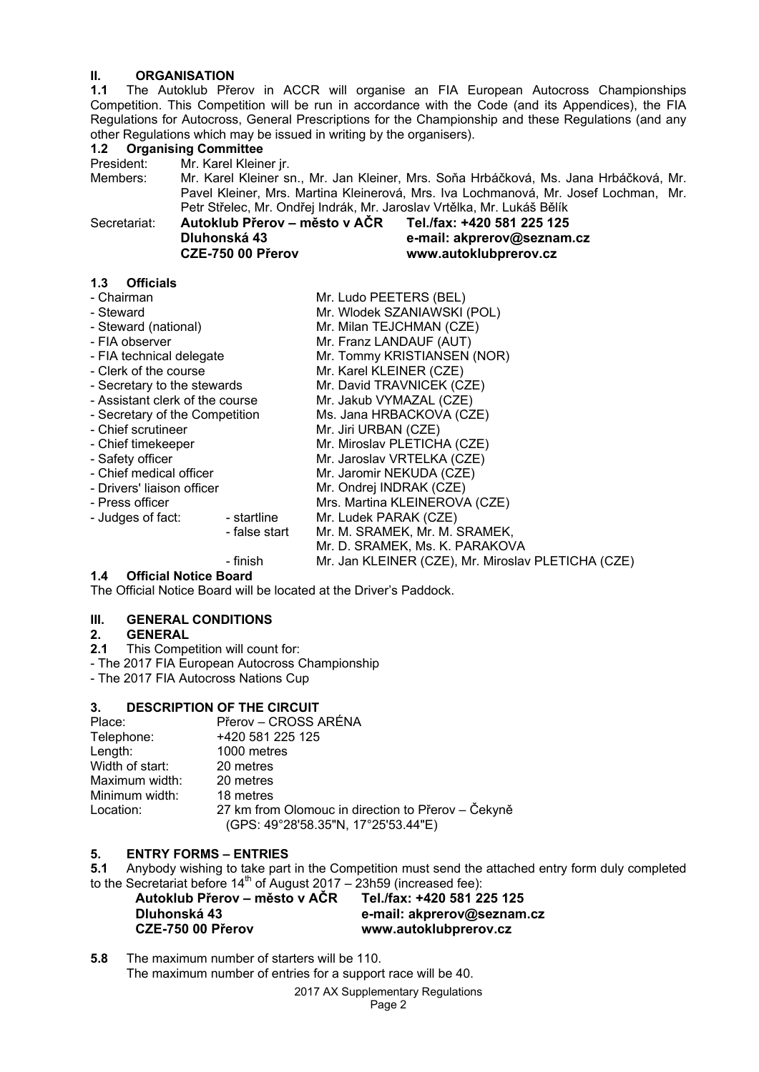# **II. ORGANISATION**<br>**1.1** The Autoklub Pře

**1.1** The Autoklub Přerov in ACCR will organise an FIA European Autocross Championships Competition. This Competition will be run in accordance with the Code (and its Appendices), the FIA Regulations for Autocross, General Prescriptions for the Championship and these Regulations (and any other Regulations which may be issued in writing by the organisers).

| 1.2 <sub>2</sub>                | <b>Organising Committee</b>                                                                                                                                                                                                                           |                               | <u>Utilian Negulations with the vest issued in withing by the Organisers).</u> |                                                                                                                 |  |  |
|---------------------------------|-------------------------------------------------------------------------------------------------------------------------------------------------------------------------------------------------------------------------------------------------------|-------------------------------|--------------------------------------------------------------------------------|-----------------------------------------------------------------------------------------------------------------|--|--|
| President:                      |                                                                                                                                                                                                                                                       | Mr. Karel Kleiner jr.         |                                                                                |                                                                                                                 |  |  |
| Members:                        | Mr. Karel Kleiner sn., Mr. Jan Kleiner, Mrs. Soňa Hrbáčková, Ms. Jana Hrbáčková, Mr.<br>Pavel Kleiner, Mrs. Martina Kleinerová, Mrs. Iva Lochmanová, Mr. Josef Lochman, Mr.<br>Petr Střelec, Mr. Ondřej Indrák, Mr. Jaroslav Vrtělka, Mr. Lukáš Bělík |                               |                                                                                |                                                                                                                 |  |  |
| Secretariat:                    | Dluhonská 43                                                                                                                                                                                                                                          | CZE-750 00 Přerov             |                                                                                | Autoklub Přerov – město v AČR Tel./fax: +420 581 225 125<br>e-mail: akprerov@seznam.cz<br>www.autoklubprerov.cz |  |  |
| <b>Officials</b><br>1.3         |                                                                                                                                                                                                                                                       |                               |                                                                                |                                                                                                                 |  |  |
| - Chairman                      |                                                                                                                                                                                                                                                       | Mr. Ludo PEETERS (BEL)        |                                                                                |                                                                                                                 |  |  |
| - Steward                       |                                                                                                                                                                                                                                                       |                               | Mr. Wlodek SZANIAWSKI (POL)                                                    |                                                                                                                 |  |  |
| - Steward (national)            |                                                                                                                                                                                                                                                       |                               | Mr. Milan TEJCHMAN (CZE)                                                       |                                                                                                                 |  |  |
| - FIA observer                  |                                                                                                                                                                                                                                                       |                               | Mr. Franz LANDAUF (AUT)                                                        |                                                                                                                 |  |  |
| - FIA technical delegate        |                                                                                                                                                                                                                                                       | Mr. Tommy KRISTIANSEN (NOR)   |                                                                                |                                                                                                                 |  |  |
| - Clerk of the course           |                                                                                                                                                                                                                                                       | Mr. Karel KLEINER (CZE)       |                                                                                |                                                                                                                 |  |  |
| - Secretary to the stewards     |                                                                                                                                                                                                                                                       |                               | Mr. David TRAVNICEK (CZE)                                                      |                                                                                                                 |  |  |
| - Assistant clerk of the course |                                                                                                                                                                                                                                                       |                               | Mr. Jakub VYMAZAL (CZE)                                                        |                                                                                                                 |  |  |
| - Secretary of the Competition  |                                                                                                                                                                                                                                                       |                               | Ms. Jana HRBACKOVA (CZE)                                                       |                                                                                                                 |  |  |
| - Chief scrutineer              |                                                                                                                                                                                                                                                       |                               | Mr. Jiri URBAN (CZE)                                                           |                                                                                                                 |  |  |
| - Chief timekeeper              |                                                                                                                                                                                                                                                       |                               | Mr. Miroslav PLETICHA (CZE)                                                    |                                                                                                                 |  |  |
| - Safety officer                |                                                                                                                                                                                                                                                       | Mr. Jaroslav VRTELKA (CZE)    |                                                                                |                                                                                                                 |  |  |
| - Chief medical officer         |                                                                                                                                                                                                                                                       | Mr. Jaromir NEKUDA (CZE)      |                                                                                |                                                                                                                 |  |  |
| - Drivers' liaison officer      |                                                                                                                                                                                                                                                       | Mr. Ondrej INDRAK (CZE)       |                                                                                |                                                                                                                 |  |  |
| - Press officer                 |                                                                                                                                                                                                                                                       | Mrs. Martina KLEINEROVA (CZE) |                                                                                |                                                                                                                 |  |  |
| - Judges of fact:               |                                                                                                                                                                                                                                                       | - startline                   | Mr. Ludek PARAK (CZE)                                                          |                                                                                                                 |  |  |
|                                 |                                                                                                                                                                                                                                                       | - false start                 |                                                                                | Mr. M. SRAMEK, Mr. M. SRAMEK,                                                                                   |  |  |
|                                 |                                                                                                                                                                                                                                                       |                               |                                                                                | Mr. D. SRAMEK, Ms. K. PARAKOVA                                                                                  |  |  |

#### - finish Mr. Jan KLEINER (CZE), Mr. Miroslav PLETICHA (CZE)

**1.4 Official Notice Board** 

The Official Notice Board will be located at the Driver's Paddock.

# **III.** GENERAL CONDITIONS<br>2. GENERAL

# 2. **GENERAL**<br>**2.1** This Compe

**2.1** This Competition will count for:

- The 2017 FIA European Autocross Championship

- The 2017 FIA Autocross Nations Cup

#### **3. DESCRIPTION OF THE CIRCUIT**

| Place:          | Přerov – CROSS ARÉNA                                                                      |
|-----------------|-------------------------------------------------------------------------------------------|
| Telephone:      | +420 581 225 125                                                                          |
| Length:         | 1000 metres                                                                               |
| Width of start: | 20 metres                                                                                 |
| Maximum width:  | 20 metres                                                                                 |
| Minimum width:  | 18 metres                                                                                 |
| Location:       | 27 km from Olomouc in direction to Přerov – Čekyně<br>(GPS: 49°28'58.35"N, 17°25'53.44"E) |

#### **5. ENTRY FORMS – ENTRIES**

**5.1** Anybody wishing to take part in the Competition must send the attached entry form duly completed to the Secretariat before  $14<sup>th</sup>$  of August 2017 – 23h59 (increased fee):

| Tel./fax: +420 581 225 125 |
|----------------------------|
| e-mail: akprerov@seznam.cz |
| www.autoklubprerov.cz      |
|                            |

**5.8** The maximum number of starters will be 110. The maximum number of entries for a support race will be 40.

2017 AX Supplementary Regulations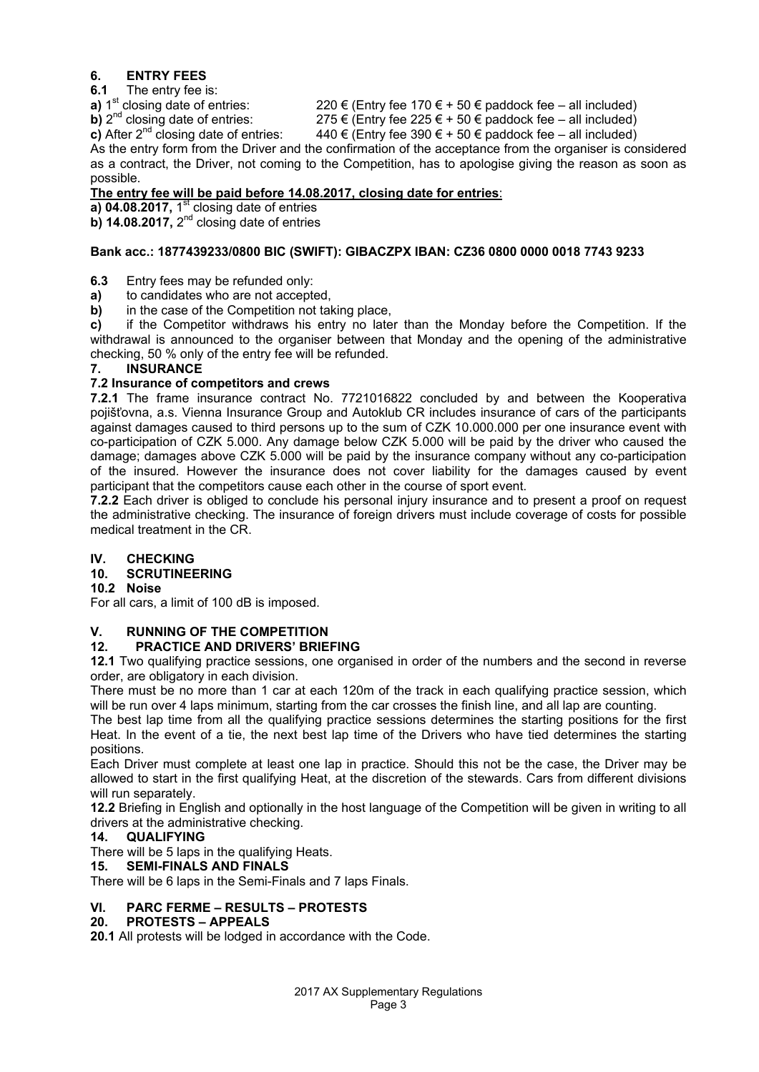## **6. ENTRY FEES**

**6.1** The entry fee is:<br>**a**) 1<sup>st</sup> closing date of entries: **a)** 1<sup>st</sup> closing date of entries: 220 € (Entry fee 170 € + 50 € paddock fee – all included)<br> **b)**  $2^{nd}$  closing date of entries: 275 € (Entry fee 225 € + 50 € paddock fee – all included) **b)**  $2^{nd}$  closing date of entries: 275 € (Entry fee 225 € + 50 € paddock fee – all included)<br> **c)** After  $2^{nd}$  closing date of entries: 440 € (Entry fee 390 € + 50 € paddock fee – all included)

 $440 \text{ } \in \text{(Entry fee 390 } \in +50 \text{ } \in \text{padded}$  baddock fee – all included) As the entry form from the Driver and the confirmation of the acceptance from the organiser is considered as a contract, the Driver, not coming to the Competition, has to apologise giving the reason as soon as possible.

## **The entry fee will be paid before 14.08.2017, closing date for entries**:

**a) 04.08.2017,** 1<sup>st</sup> closing date of entries

**b) 14.08.2017,** 2<sup>nd</sup> closing date of entries

## **Bank acc.: 1877439233/0800 BIC (SWIFT): GIBACZPX IBAN: CZ36 0800 0000 0018 7743 9233**

- **6.3** Entry fees may be refunded only:
- **a)** to candidates who are not accepted,
- **b)** in the case of the Competition not taking place,

**c)** if the Competitor withdraws his entry no later than the Monday before the Competition. If the withdrawal is announced to the organiser between that Monday and the opening of the administrative checking, 50 % only of the entry fee will be refunded.

## **7. INSURANCE**

## **7.2 Insurance of competitors and crews**

**7.2.1** The frame insurance contract No. 7721016822 concluded by and between the Kooperativa pojišťovna, a.s. Vienna Insurance Group and Autoklub CR includes insurance of cars of the participants against damages caused to third persons up to the sum of CZK 10.000.000 per one insurance event with co-participation of CZK 5.000. Any damage below CZK 5.000 will be paid by the driver who caused the damage; damages above CZK 5.000 will be paid by the insurance company without any co-participation of the insured. However the insurance does not cover liability for the damages caused by event participant that the competitors cause each other in the course of sport event.

**7.2.2** Each driver is obliged to conclude his personal injury insurance and to present a proof on request the administrative checking. The insurance of foreign drivers must include coverage of costs for possible medical treatment in the CR.

## **IV. CHECKING**

## **10. SCRUTINEERING**

**10.2 Noise** 

For all cars, a limit of 100 dB is imposed.

## **V. RUNNING OF THE COMPETITION**

## **12. PRACTICE AND DRIVERS' BRIEFING**

**12.1** Two qualifying practice sessions, one organised in order of the numbers and the second in reverse order, are obligatory in each division.

There must be no more than 1 car at each 120m of the track in each qualifying practice session, which will be run over 4 laps minimum, starting from the car crosses the finish line, and all lap are counting.

The best lap time from all the qualifying practice sessions determines the starting positions for the first Heat. In the event of a tie, the next best lap time of the Drivers who have tied determines the starting positions.

Each Driver must complete at least one lap in practice. Should this not be the case, the Driver may be allowed to start in the first qualifying Heat, at the discretion of the stewards. Cars from different divisions will run separately.

**12.2** Briefing in English and optionally in the host language of the Competition will be given in writing to all drivers at the administrative checking.

## **14. QUALIFYING**

There will be 5 laps in the qualifying Heats.

## **15. SEMI-FINALS AND FINALS**

There will be 6 laps in the Semi-Finals and 7 laps Finals.

## **VI. PARC FERME – RESULTS – PROTESTS**

## **20. PROTESTS – APPEALS**

**20.1** All protests will be lodged in accordance with the Code.